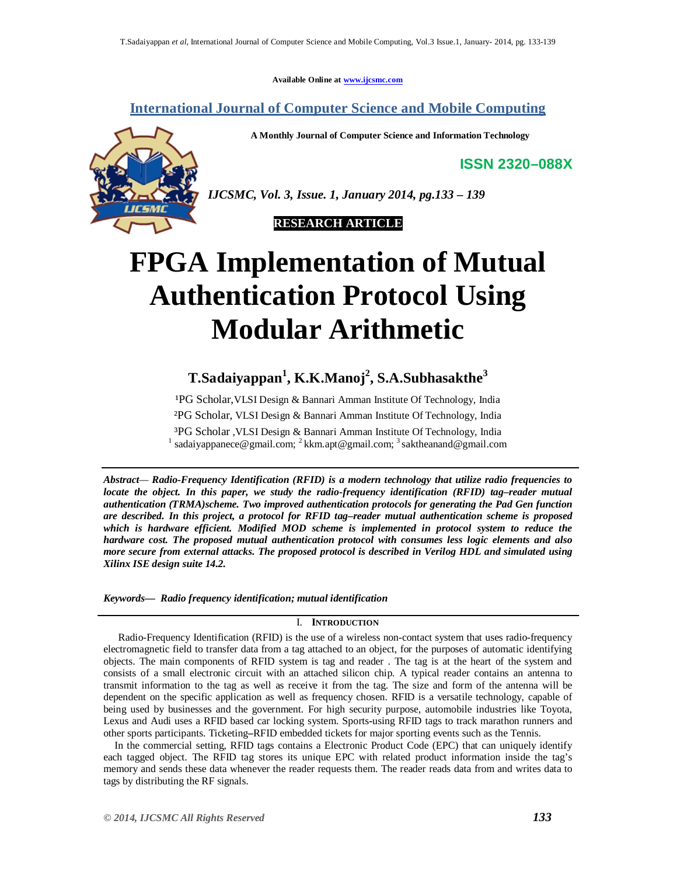**Available Online at www.ijcsmc.com**

**International Journal of Computer Science and Mobile Computing**

**A Monthly Journal of Computer Science and Information Technology**

**ISSN 2320–088X**



*IJCSMC, Vol. 3, Issue. 1, January 2014, pg.133 – 139*

 **RESEARCH ARTICLE**

# **FPGA Implementation of Mutual Authentication Protocol Using Modular Arithmetic**

# **T.Sadaiyappan<sup>1</sup> , K.K.Manoj<sup>2</sup> , S.A.Subhasakthe<sup>3</sup>**

<sup>1</sup>PG Scholar, VLSI Design & Bannari Amman Institute Of Technology, India ²PG Scholar, VLSI Design & Bannari Amman Institute Of Technology, India ³PG Scholar ,VLSI Design & Bannari Amman Institute Of Technology, India 1 sadaiyappanece@gmail.com; <sup>2</sup> kkm.apt@gmail.com; <sup>3</sup> saktheanand@gmail.com

*Abstract— Radio-Frequency Identification (RFID) is a modern technology that utilize radio frequencies to locate the object. In this paper, we study the radio-frequency identification (RFID) tag–reader mutual authentication (TRMA)scheme. Two improved authentication protocols for generating the Pad Gen function are described. In this project, a protocol for RFID tag–reader mutual authentication scheme is proposed which is hardware efficient. Modified MOD scheme is implemented in protocol system to reduce the hardware cost. The proposed mutual authentication protocol with consumes less logic elements and also more secure from external attacks. The proposed protocol is described in Verilog HDL and simulated using Xilinx ISE design suite 14.2.*

*Keywords— Radio frequency identification; mutual identification*

## I. **INTRODUCTION**

Radio-Frequency Identification (RFID) is the use of a wireless non-contact system that uses radio-frequency electromagnetic field to transfer data from a tag attached to an object, for the purposes of automatic identifying objects. The main components of RFID system is tag and reader . The tag is at the heart of the system and consists of a small electronic circuit with an attached silicon chip. A typical reader contains an antenna to transmit information to the tag as well as receive it from the tag. The size and form of the antenna will be dependent on the specific application as well as frequency chosen. RFID is a versatile technology, capable of being used by businesses and the government. For high security purpose, automobile industries like Toyota, Lexus and Audi uses a RFID based car locking system. Sports**-**using RFID tags to track marathon runners and other sports participants. Ticketing**–**RFID embedded tickets for major sporting events such as the Tennis.

In the commercial setting, RFID tags contains a Electronic Product Code (EPC) that can uniquely identify each tagged object. The RFID tag stores its unique EPC with related product information inside the tag's memory and sends these data whenever the reader requests them. The reader reads data from and writes data to tags by distributing the RF signals.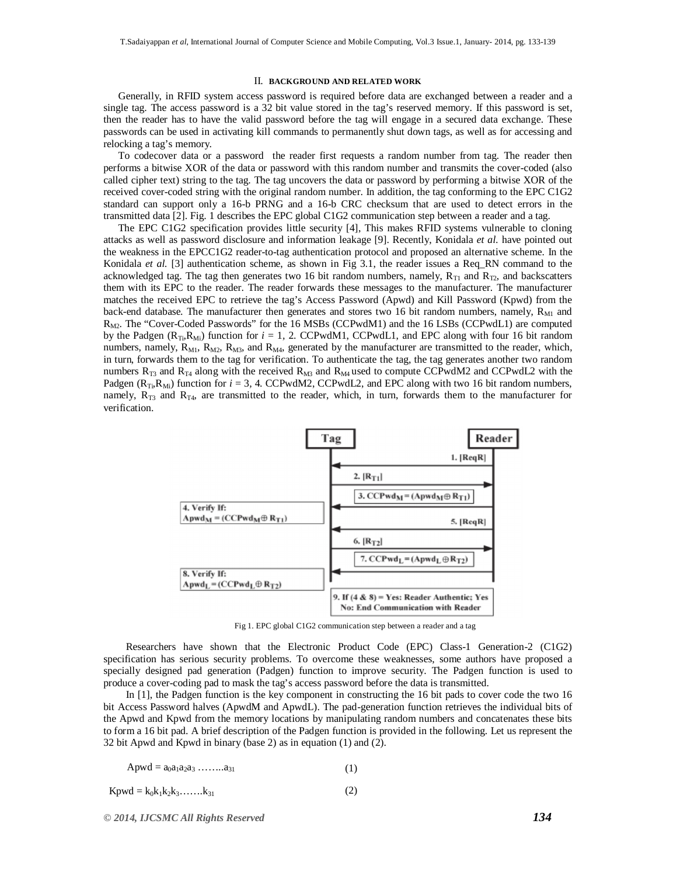#### II. **BACKGROUND AND RELATED WORK**

Generally, in RFID system access password is required before data are exchanged between a reader and a single tag. The access password is a 32 bit value stored in the tag's reserved memory. If this password is set, then the reader has to have the valid password before the tag will engage in a secured data exchange. These passwords can be used in activating kill commands to permanently shut down tags, as well as for accessing and relocking a tag's memory.

To codecover data or a password the reader first requests a random number from tag. The reader then performs a bitwise XOR of the data or password with this random number and transmits the cover-coded (also called cipher text) string to the tag. The tag uncovers the data or password by performing a bitwise XOR of the received cover-coded string with the original random number. In addition, the tag conforming to the EPC C1G2 standard can support only a 16-b PRNG and a 16-b CRC checksum that are used to detect errors in the transmitted data [2]. Fig. 1 describes the EPC global C1G2 communication step between a reader and a tag.

The EPC C1G2 specification provides little security [4], This makes RFID systems vulnerable to cloning attacks as well as password disclosure and information leakage [9]. Recently, Konidala *et al.* have pointed out the weakness in the EPCC1G2 reader-to-tag authentication protocol and proposed an alternative scheme. In the Konidala *et al.* [3] authentication scheme, as shown in Fig 3.1, the reader issues a Req\_RN command to the acknowledged tag. The tag then generates two 16 bit random numbers, namely,  $R_{T1}$  and  $R_{T2}$ , and backscatters them with its EPC to the reader. The reader forwards these messages to the manufacturer. The manufacturer matches the received EPC to retrieve the tag's Access Password (Apwd) and Kill Password (Kpwd) from the back-end database. The manufacturer then generates and stores two 16 bit random numbers, namely,  $R_{\text{M1}}$  and  $R_{M2}$ . The "Cover-Coded Passwords" for the 16 MSBs (CCPwdM1) and the 16 LSBs (CCPwdL1) are computed by the Padgen  $(R_{Ti}R_{Mi})$  function for  $i = 1, 2$ . CCPwdM1, CCPwdL1, and EPC along with four 16 bit random numbers, namely,  $R_{M1}$ ,  $R_{M2}$ ,  $R_{M3}$ , and  $R_{M4}$ , generated by the manufacturer are transmitted to the reader, which, in turn, forwards them to the tag for verification. To authenticate the tag, the tag generates another two random numbers  $R_{T3}$  and  $R_{T4}$  along with the received  $R_{M3}$  and  $R_{M4}$  used to compute CCPwdM2 and CCPwdL2 with the Padgen ( $R_{Ti}R_{Mi}$ ) function for  $i = 3$ , 4. CCPwdM2, CCPwdL2, and EPC along with two 16 bit random numbers, namely,  $R_{T3}$  and  $R_{T4}$ , are transmitted to the reader, which, in turn, forwards them to the manufacturer for verification.



Fig 1. EPC global C1G2 communication step between a reader and a tag

Researchers have shown that the Electronic Product Code (EPC) Class-1 Generation-2 (C1G2) specification has serious security problems. To overcome these weaknesses, some authors have proposed a specially designed pad generation (Padgen) function to improve security. The Padgen function is used to produce a cover-coding pad to mask the tag's access password before the data is transmitted.

In [1], the Padgen function is the key component in constructing the 16 bit pads to cover code the two 16 bit Access Password halves (ApwdM and ApwdL). The pad-generation function retrieves the individual bits of the Apwd and Kpwd from the memory locations by manipulating random numbers and concatenates these bits to form a 16 bit pad. A brief description of the Padgen function is provided in the following. Let us represent the 32 bit Apwd and Kpwd in binary (base 2) as in equation (1) and (2).

$$
A p w d = a_0 a_1 a_2 a_3 \dots a_{31} \tag{1}
$$

 $K$ pwd =  $k_0k_1k_2k_3$ …… $k_{31}$ (2)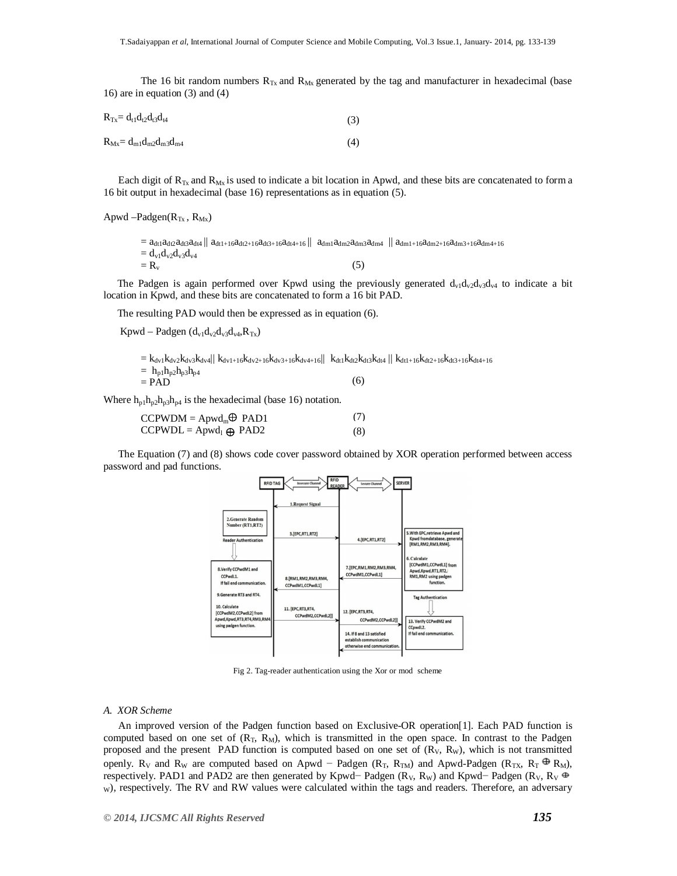The 16 bit random numbers  $R_{Tx}$  and  $R_{Mx}$  generated by the tag and manufacturer in hexadecimal (base 16) are in equation (3) and (4)

| $R_{Tx} = d_{t1}d_{t2}d_{t3}d_{t4}$ | (3) |
|-------------------------------------|-----|
| $R_{Mx} = d_{m1}d_{m2}d_{m3}d_{m4}$ | (4) |

Each digit of  $R_{Tx}$  and  $R_{Mx}$  is used to indicate a bit location in Apwd, and these bits are concatenated to form a 16 bit output in hexadecimal (base 16) representations as in equation (5).

Apwd –Padgen(R<sub>Tx</sub>, R<sub>Mx</sub>)

 $= a_{dt1}a_{dt2}a_{dt3}a_{dt4} \parallel a_{dt1+16}a_{dt2+16}a_{dt3+16}a_{dt4+16} \parallel a_{dm1}a_{dm2}a_{dm3}a_{dm4} \parallel a_{dm1+16}a_{dm2+16}a_{dm3+16}a_{dm4+16}$  $= d_{v1}d_{v2}d_{v3}d_{v4}$  $=$  R<sub>v</sub> (5)

The Padgen is again performed over Kpwd using the previously generated  $d_{v1}d_{v2}d_{v3}d_{v4}$  to indicate a bit location in Kpwd, and these bits are concatenated to form a 16 bit PAD.

The resulting PAD would then be expressed as in equation (6).

Kpwd – Padgen  $(d_{v1}d_{v2}d_{v3}d_{v4},R_{Tx})$ 

|                              | $= k_{dv1} k_{dv2} k_{dv3} k_{dv4}$    $k_{dv1+16} k_{dv2+16} k_{dv3+16} k_{dv4+16}$    $k_{dt1} k_{dt2} k_{dt3} k_{dt4}$    $k_{dt1+16} k_{dt2+16} k_{dt3+16} k_{dt4+16}$ |  |
|------------------------------|----------------------------------------------------------------------------------------------------------------------------------------------------------------------------|--|
| $= h_{p1}h_{p2}h_{p3}h_{p4}$ |                                                                                                                                                                            |  |
| $=$ PAD                      | (6)                                                                                                                                                                        |  |

Where  $h_{p1}h_{p2}h_{p3}h_{p4}$  is the hexadecimal (base 16) notation.

| $CCPWDM = Apwd_m \oplus PAD1$  | (7) |
|--------------------------------|-----|
| $CCPWDL = Aprod_1 \oplus PAD2$ | (8) |

The Equation (7) and (8) shows code cover password obtained by XOR operation performed between access password and pad functions.



Fig 2. Tag-reader authentication using the Xor or mod scheme

#### *A. XOR Scheme*

An improved version of the Padgen function based on Exclusive-OR operation[1]. Each PAD function is computed based on one set of  $(R_T, R_M)$ , which is transmitted in the open space. In contrast to the Padgen proposed and the present PAD function is computed based on one set of  $(R<sub>V</sub>, R<sub>W</sub>)$ , which is not transmitted openly. R<sub>V</sub> and R<sub>W</sub> are computed based on Apwd – Padgen (R<sub>T</sub>, R<sub>TM</sub>) and Apwd-Padgen (R<sub>TX</sub>, R<sub>T</sub>  $\oplus$  R<sub>M</sub>), respectively. PAD1 and PAD2 are then generated by Kpwd– Padgen (R<sub>V</sub>, R<sub>W</sub>) and Kpwd– Padgen (R<sub>V</sub>, R<sub>V</sub>  $\oplus$ w), respectively. The RV and RW values were calculated within the tags and readers. Therefore, an adversary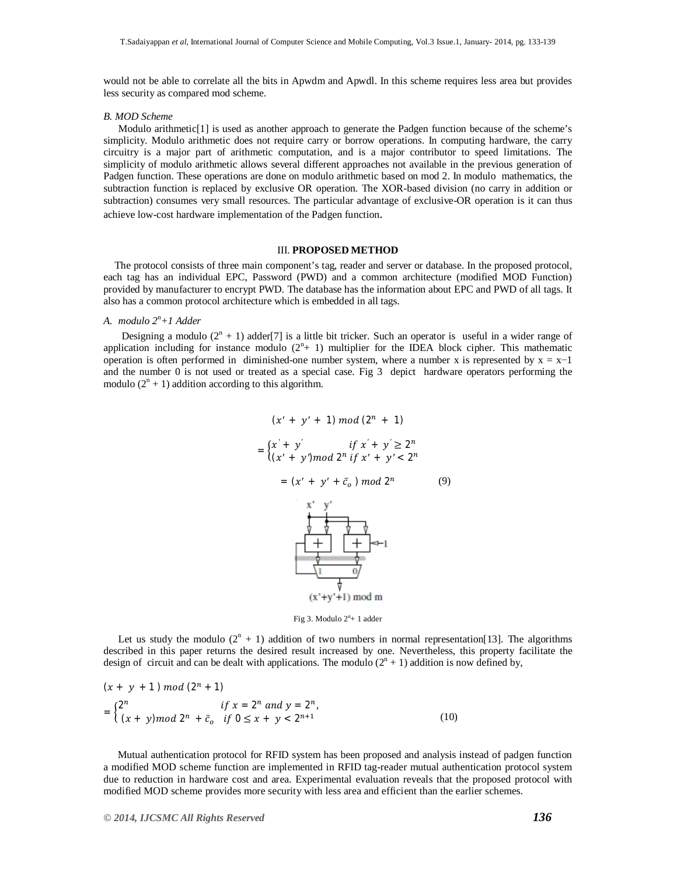would not be able to correlate all the bits in Apwdm and Apwdl. In this scheme requires less area but provides less security as compared mod scheme.

#### *B. MOD Scheme*

Modulo arithmetic<sup>[1]</sup> is used as another approach to generate the Padgen function because of the scheme's simplicity. Modulo arithmetic does not require carry or borrow operations. In computing hardware, the carry circuitry is a major part of arithmetic computation, and is a major contributor to speed limitations. The simplicity of modulo arithmetic allows several different approaches not available in the previous generation of Padgen function. These operations are done on modulo arithmetic based on mod 2. In modulo mathematics, the subtraction function is replaced by exclusive OR operation. The XOR-based division (no carry in addition or subtraction) consumes very small resources. The particular advantage of exclusive-OR operation is it can thus achieve low-cost hardware implementation of the Padgen function.

#### III. **PROPOSED METHOD**

The protocol consists of three main component's tag, reader and server or database. In the proposed protocol, each tag has an individual EPC, Password (PWD) and a common architecture (modified MOD Function) provided by manufacturer to encrypt PWD. The database has the information about EPC and PWD of all tags. It also has a common protocol architecture which is embedded in all tags.

#### *A. modulo 2<sup>n</sup>+1 Adder*

Designing a modulo  $(2^{n} + 1)$  adder[7] is a little bit tricker. Such an operator is useful in a wider range of application including for instance modulo  $(2^n + 1)$  multiplier for the IDEA block cipher. This mathematic operation is often performed in diminished-one number system, where a number x is represented by  $x = x-1$ and the number  $0$  is not used or treated as a special case. Fig 3 depict hardware operators performing the modulo  $(2^n + 1)$  addition according to this algorithm.

$$
(x' + y' + 1) \mod (2^{n} + 1)
$$
\n
$$
= \begin{cases}\nx' + y' & \text{if } x' + y' \ge 2^{n} \\
(x' + y') \mod 2^{n} \text{ if } x' + y' < 2^{n}\n\end{cases}
$$
\n
$$
= (x' + y' + \bar{c}_{o}) \mod 2^{n} \tag{9}
$$
\n
$$
\begin{array}{c}\nx'' + y'' \\
y'' + y'' \\
\hline\n\end{array}
$$
\n
$$
\begin{array}{c}\nx'' + y'' \\
y'' + y''' \\
\hline\n\end{array}
$$
\n
$$
\begin{array}{c}\nx'' + y'' \\
y''' + y''' \\
\hline\n\end{array}
$$
\n
$$
(x' + y' + 1) \mod m
$$

Fig 3. Modulo  $2<sup>n</sup>+1$  adder

Let us study the modulo  $(2^{n} + 1)$  addition of two numbers in normal representation[13]. The algorithms described in this paper returns the desired result increased by one. Nevertheless, this property facilitate the design of circuit and can be dealt with applications. The modulo  $(2^{n} + 1)$  addition is now defined by,

$$
(x + y + 1) \mod (2^{n} + 1)
$$
  
= 
$$
\begin{cases} 2^{n} & \text{if } x = 2^{n} \text{ and } y = 2^{n}, \\ (x + y) \mod 2^{n} + \bar{c}_{o} & \text{if } 0 \le x + y < 2^{n+1} \end{cases}
$$
 (10)

Mutual authentication protocol for RFID system has been proposed and analysis instead of padgen function a modified MOD scheme function are implemented in RFID tag-reader mutual authentication protocol system due to reduction in hardware cost and area. Experimental evaluation reveals that the proposed protocol with modified MOD scheme provides more security with less area and efficient than the earlier schemes.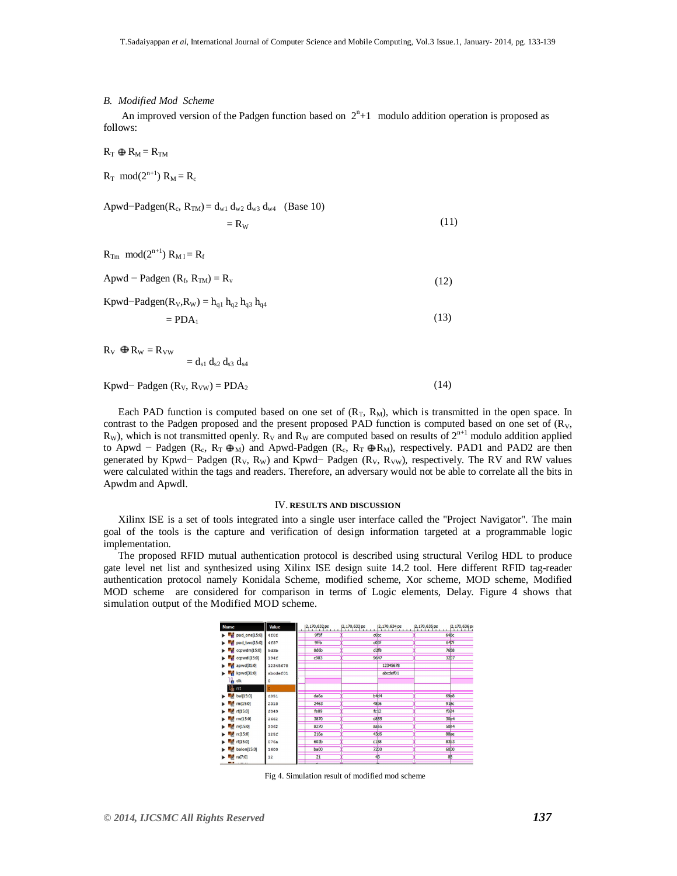#### *B. Modified Mod Scheme*

An improved version of the Padgen function based on  $2<sup>n</sup>+1$  modulo addition operation is proposed as follows:

 $R_T \oplus R_M = R_{TM}$ 

 $R_T \mod 2^{n+1}$   $R_M = R_c$ 

Apwd–Padgen( $R_c$ ,  $R_{TM}$ ) =  $d_{w1}$   $d_{w2}$   $d_{w3}$   $d_{w4}$  (Base 10)

$$
=R_{\rm W} \tag{11}
$$

(13)

(14)

 $R_{\text{Tm}}$  mod $(2^{n+1}) R_{\text{M1}} = R_f$ 

Apwd – Padgen  $(R_f, R_{TM}) = R_v$ (12)

Kpwd–Padgen( $R_V$ , $R_W$ ) =  $h_{q1}$   $h_{q2}$   $h_{q3}$   $h_{q4}$ 

$$
= \rm{PDA}_1
$$

 $R_V \oplus R_W = R_{VW}$ 

 $= d_{s1} d_{s2} d_{s3} d_{s4}$ 

### Kpwd− Padgen ( $R_V$ ,  $R_{VW}$ ) = PDA<sub>2</sub>

Each PAD function is computed based on one set of  $(R_T, R_M)$ , which is transmitted in the open space. In contrast to the Padgen proposed and the present proposed PAD function is computed based on one set of  $(R<sub>V</sub>,$  $R_W$ ), which is not transmitted openly.  $R_V$  and  $R_W$  are computed based on results of  $2^{n+1}$  modulo addition applied to Apwd – Padgen (R<sub>c</sub>, R<sub>T</sub>  $\overline{\Phi_M}$ ) and Apwd-Padgen (R<sub>c</sub>, R<sub>T</sub>  $\overline{\Phi_R}$ ), respectively. PAD1 and PAD2 are then generated by Kpwd− Padgen ( $R_V$ ,  $R_W$ ) and Kpwd− Padgen ( $R_V$ ,  $R_{VW}$ ), respectively. The RV and RW values were calculated within the tags and readers. Therefore, an adversary would not be able to correlate all the bits in Apwdm and Apwdl.

#### IV. **RESULTS AND DISCUSSION**

Xilinx ISE is a set of tools integrated into a single user interface called the "Project Navigator". The main goal of the tools is the capture and verification of design information targeted at a programmable logic implementation.

The proposed RFID mutual authentication protocol is described using structural Verilog HDL to produce gate level net list and synthesized using Xilinx ISE design suite 14.2 tool. Here different RFID tag-reader authentication protocol namely Konidala Scheme, modified scheme, Xor scheme, MOD scheme, Modified MOD scheme are considered for comparison in terms of Logic elements, Delay. Figure 4 shows that simulation output of the Modified MOD scheme.

| <b>Name</b>              | Value    | 2,170,632 ps      | 2,170,633 ps      | 2,170,634 ps | 2,170,635 ps           | 2,170,636 ps      |
|--------------------------|----------|-------------------|-------------------|--------------|------------------------|-------------------|
| pad_one[15:0]<br>a.<br>▶ | 4f0f     | 9f5f              | c0cc              |              | 646c                   |                   |
| pad_two[15:0]<br>м       | 4£37     | 9ffb              | coBf              |              | 647f                   |                   |
| ccpwdm[15:0]<br>ж        | 5d3b     | 8d6b              | d2f8              |              |                        | 7658              |
| ccpwdl[15:0]<br>м        | 194f     | c983              | 9647              |              |                        | 32 <sub>D7</sub>  |
| $p$ apwd[31:0]           | 12345678 |                   |                   | 12345678     |                        |                   |
| kpwd[31:0]               | abcdef01 |                   |                   | abcdef01     |                        |                   |
| a clk                    |          |                   |                   |              |                        |                   |
| rst                      |          |                   |                   |              |                        |                   |
| bal[15:0]<br>м           | d351     | da6a              | b444              |              | <b>69<sub>b</sub>8</b> |                   |
| rm[15:0]                 | 2318     | 2463              | <b>48</b> :6      |              | 91Bc                   |                   |
| rt[15:0]                 | f049     | fe09              | fc12              |              |                        | <b>f824</b>       |
| $r$ rw $[15:0]$          | 2662     | 3870              | d855              |              |                        | 30 <sub>2</sub> 4 |
| V(15:0)                  | 3062     | 8270              | aa55              |              |                        | 50 <sub>2</sub> 4 |
| rc[15:0]                 | 125f     | 216a              | <b>43d6</b>       |              | 88be                   |                   |
| rf[15:0]                 | 076a     | 60 <sub>2</sub> b | c158              |              | 83b3                   |                   |
| balon[15:0]              | 1600     | ba00              | 72 <sub>D</sub> o |              | 60 <sub>D</sub> o      |                   |
| $a$ ra $(7:0)$           | 12       | 21                | 43                |              | 8 <sub>B</sub>         |                   |
| <b>ELE</b>               |          | ÷                 |                   |              |                        |                   |

Fig 4. Simulation result of modified mod scheme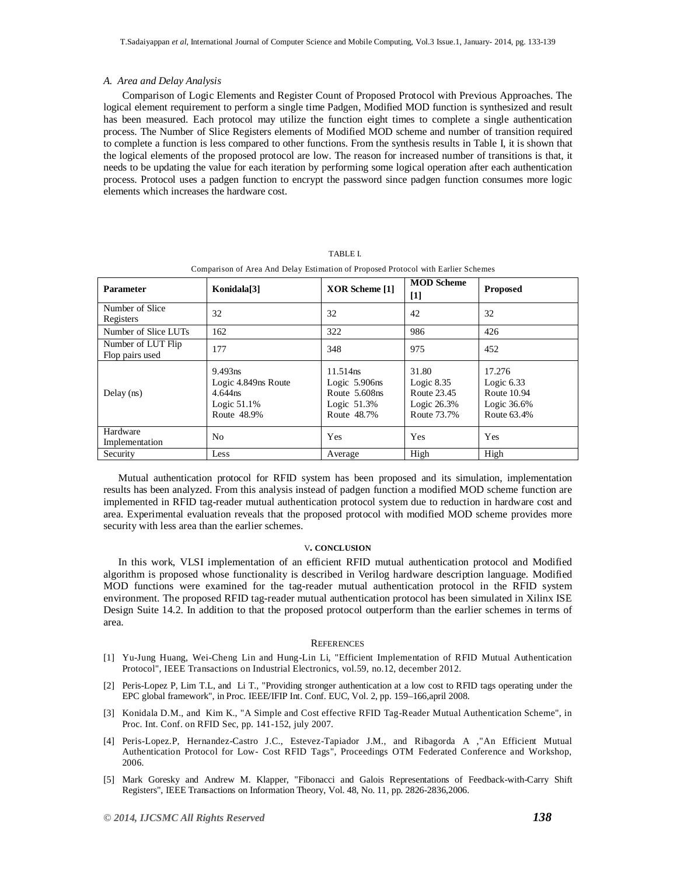#### *A. Area and Delay Analysis*

Comparison of Logic Elements and Register Count of Proposed Protocol with Previous Approaches. The logical element requirement to perform a single time Padgen, Modified MOD function is synthesized and result has been measured. Each protocol may utilize the function eight times to complete a single authentication process. The Number of Slice Registers elements of Modified MOD scheme and number of transition required to complete a function is less compared to other functions. From the synthesis results in Table I, it is shown that the logical elements of the proposed protocol are low. The reason for increased number of transitions is that, it needs to be updating the value for each iteration by performing some logical operation after each authentication process. Protocol uses a padgen function to encrypt the password since padgen function consumes more logic elements which increases the hardware cost.

| <b>Parameter</b>                      | Konidala[3]                                                                 | XOR Scheme [1]                                                                 | <b>MOD Scheme</b><br>$[1]$                                            | <b>Proposed</b>                                                        |
|---------------------------------------|-----------------------------------------------------------------------------|--------------------------------------------------------------------------------|-----------------------------------------------------------------------|------------------------------------------------------------------------|
| Number of Slice<br>Registers          | 32                                                                          | 32                                                                             | 42                                                                    | 32                                                                     |
| Number of Slice LUTs                  | 162                                                                         | 322                                                                            | 986                                                                   | 426                                                                    |
| Number of LUT Flip<br>Flop pairs used | 177                                                                         | 348                                                                            | 975                                                                   | 452                                                                    |
| Delay $(ns)$                          | 9.493ns<br>Logic 4.849ns Route<br>4.644 ns<br>Logic $51.1\%$<br>Route 48.9% | 11.514ns<br>Logic $5.906$ ns<br>Route 5.608ns<br>Logic $51.3\%$<br>Route 48.7% | 31.80<br>Logic $8.35$<br>Route 23.45<br>Logic $26.3\%$<br>Route 73.7% | 17.276<br>Logic $6.33$<br>Route 10.94<br>Logic $36.6\%$<br>Route 63.4% |
| Hardware<br>Implementation            | N <sub>0</sub>                                                              | <b>Yes</b>                                                                     | <b>Yes</b>                                                            | Yes                                                                    |
| Security                              | Less                                                                        | Average                                                                        | High                                                                  | High                                                                   |

TABLE I. Comparison of Area And Delay Estimation of Proposed Protocol with Earlier Schemes

Mutual authentication protocol for RFID system has been proposed and its simulation, implementation results has been analyzed. From this analysis instead of padgen function a modified MOD scheme function are

implemented in RFID tag-reader mutual authentication protocol system due to reduction in hardware cost and area. Experimental evaluation reveals that the proposed protocol with modified MOD scheme provides more security with less area than the earlier schemes.

#### V**. CONCLUSION**

In this work, VLSI implementation of an efficient RFID mutual authentication protocol and Modified algorithm is proposed whose functionality is described in Verilog hardware description language. Modified MOD functions were examined for the tag-reader mutual authentication protocol in the RFID system environment. The proposed RFID tag-reader mutual authentication protocol has been simulated in Xilinx ISE Design Suite 14.2. In addition to that the proposed protocol outperform than the earlier schemes in terms of area.

#### **REFERENCES**

- [1] Yu-Jung Huang, Wei-Cheng Lin and Hung-Lin Li, "Efficient Implementation of RFID Mutual Authentication Protocol", IEEE Transactions on Industrial Electronics, vol.59, no.12, december 2012.
- [2] Peris-Lopez P, Lim T.L, and Li T., "Providing stronger authentication at a low cost to RFID tags operating under the EPC global framework", in Proc. IEEE/IFIP Int. Conf. EUC, Vol. 2, pp. 159–166,april 2008.
- [3] Konidala D.M., and Kim K., "A Simple and Cost effective RFID Tag-Reader Mutual Authentication Scheme", in Proc. Int. Conf. on RFID Sec, pp. 141-152, july 2007.
- [4] Peris-Lopez.P, Hernandez-Castro J.C., Estevez-Tapiador J.M., and Ribagorda A ,"An Efficient Mutual Authentication Protocol for Low- Cost RFID Tags", Proceedings OTM Federated Conference and Workshop, 2006.
- [5] Mark Goresky and Andrew M. Klapper, "Fibonacci and Galois Representations of Feedback-with-Carry Shift Registers", IEEE Transactions on Information Theory, Vol. 48, No. 11, pp. 2826-2836,2006.